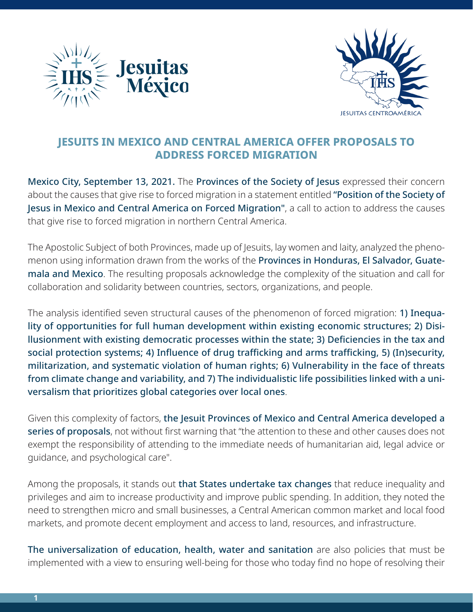



## **JESUITS IN MEXICO AND CENTRAL AMERICA OFFER PROPOSALS TO ADDRESS FORCED MIGRATION**

Mexico City, September 13, 2021. The Provinces of the Society of Jesus expressed their concern about the causes that give rise to forced migration in a statement entitled "Position of the Society of Jesus in Mexico and Central America on Forced Migration", a call to action to address the causes that give rise to forced migration in northern Central America.

The Apostolic Subject of both Provinces, made up of Jesuits, lay women and laity, analyzed the phenomenon using information drawn from the works of the Provinces in Honduras, El Salvador, Guatemala and Mexico. The resulting proposals acknowledge the complexity of the situation and call for collaboration and solidarity between countries, sectors, organizations, and people.

The analysis identified seven structural causes of the phenomenon of forced migration: 1) Inequality of opportunities for full human development within existing economic structures; 2) Disillusionment with existing democratic processes within the state; 3) Deficiencies in the tax and social protection systems; 4) Influence of drug trafficking and arms trafficking, 5) (In)security, militarization, and systematic violation of human rights; 6) Vulnerability in the face of threats from climate change and variability, and 7) The individualistic life possibilities linked with a universalism that prioritizes global categories over local ones.

Given this complexity of factors, the Jesuit Provinces of Mexico and Central America developed a series of proposals, not without first warning that "the attention to these and other causes does not exempt the responsibility of attending to the immediate needs of humanitarian aid, legal advice or guidance, and psychological care".

Among the proposals, it stands out that States undertake tax changes that reduce inequality and privileges and aim to increase productivity and improve public spending. In addition, they noted the need to strengthen micro and small businesses, a Central American common market and local food markets, and promote decent employment and access to land, resources, and infrastructure.

The universalization of education, health, water and sanitation are also policies that must be implemented with a view to ensuring well-being for those who today find no hope of resolving their